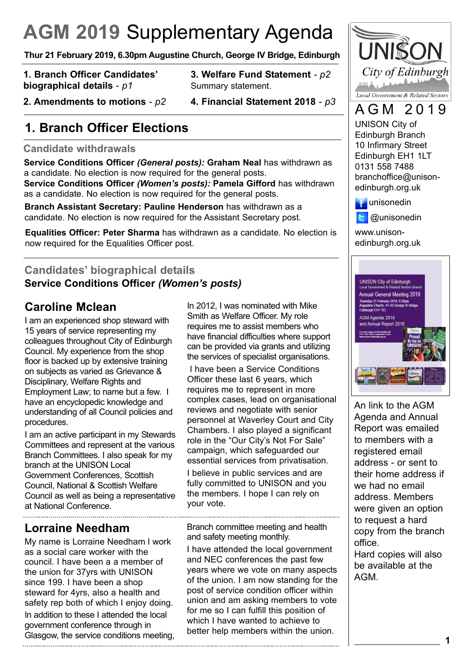# **AGM 2019** Supplementary Agenda

**Thur 21 February 2019, 6.30pm Augustine Church, George IV Bridge, Edinburgh**

**1. Branch Officer Candidates' biographical details** - *p1*

- **3. Welfare Fund Statement**  *p2* Summary statement.
- **2. Amendments to motions**  *p2*
- **4. Financial Statement 2018**  *p3*

### **1. Branch Officer Elections**

#### **Candidate withdrawals**

**Service Conditions Officer** *(General posts):* **Graham Neal** has withdrawn as a candidate. No election is now required for the general posts.

**Service Conditions Officer** *(Women's posts):* **Pamela Gifford** has withdrawn as a candidate. No election is now required for the general posts.

**Branch Assistant Secretary: Pauline Henderson** has withdrawn as a candidate. No election is now required for the Assistant Secretary post.

**Equalities Officer: Peter Sharma** has withdrawn as a candidate. No election is now required for the Equalities Officer post.

#### **Candidates' biographical details Service Conditions Officer** *(Women's posts)*

#### **Caroline Mclean**

I am an experienced shop steward with 15 years of service representing my colleagues throughout City of Edinburgh Council. My experience from the shop floor is backed up by extensive training on subjects as varied as Grievance & Disciplinary, Welfare Rights and Employment Law; to name but a few. I have an encyclopedic knowledge and understanding of all Council policies and procedures.

I am an active participant in my Stewards Committees and represent at the various Branch Committees. I also speak for my branch at the UNISON Local Government Conferences, Scottish Council, National & Scottish Welfare Council as well as being a representative at National Conference.

#### **Lorraine Needham**

My name is Lorraine Needham l work as a social care worker with the council. I have been a a member of the union for 37yrs with UNISON since 199. I have been a shop steward for 4yrs, also a health and safety rep both of which I enjoy doing.

In addition to these I attended the local government conference through in Glasgow, the service conditions meeting, In 2012, I was nominated with Mike Smith as Welfare Officer. My role requires me to assist members who have financial difficulties where support can be provided via grants and utilizing the services of specialist organisations.

I have been a Service Conditions Officer these last 6 years, which requires me to represent in more complex cases, lead on organisational reviews and negotiate with senior personnel at Waverley Court and City Chambers. I also played a significant role in the "Our City's Not For Sale" campaign, which safeguarded our essential services from privatisation.

I believe in public services and are fully committed to UNISON and you the members. I hope I can rely on your vote.

Branch committee meeting and health and safety meeting monthly.

I have attended the local government and NEC conferences the past few years where we vote on many aspects of the union. I am now standing for the post of service condition officer within union and am asking members to vote for me so I can fulfill this position of which I have wanted to achieve to better help members within the union.



## AGM 2019

UNISON City of Edinburgh Branch 10 Infirmary Street Edinburgh EH1 1LT 0131 558 7488 branchoffice@unisonedinburgh.org.uk



@unisonedin **E** 

www.unisonedinburgh.org.uk



An link to the AGM Agenda and Annual Report was emailed to members with a registered email address - or sent to their home address if we had no email address. Members were given an option to request a hard copy from the branch office.

Hard copies will also be available at the AGM.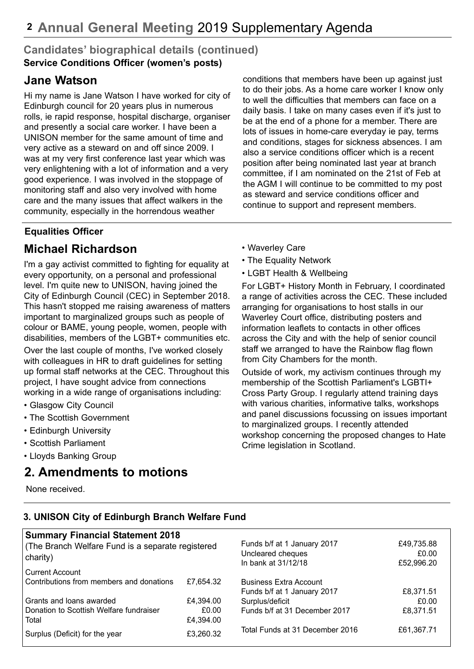#### **Candidates' biographical details (continued) Service Conditions Officer (women's posts)**

#### **Jane Watson**

Hi my name is Jane Watson I have worked for city of Edinburgh council for 20 years plus in numerous rolls, ie rapid response, hospital discharge, organiser and presently a social care worker. I have been a UNISON member for the same amount of time and very active as a steward on and off since 2009. I was at my very first conference last year which was very enlightening with a lot of information and a very good experience. I was involved in the stoppage of monitoring staff and also very involved with home care and the many issues that affect walkers in the community, especially in the horrendous weather

conditions that members have been up against just to do their jobs. As a home care worker I know only to well the difficulties that members can face on a daily basis. I take on many cases even if it's just to be at the end of a phone for a member. There are lots of issues in home-care everyday ie pay, terms and conditions, stages for sickness absences. I am also a service conditions officer which is a recent position after being nominated last year at branch committee, if I am nominated on the 21st of Feb at the AGM I will continue to be committed to my post as steward and service conditions officer and continue to support and represent members.

#### **Equalities Officer**

#### **Michael Richardson**

I'm a gay activist committed to fighting for equality at every opportunity, on a personal and professional level. I'm quite new to UNISON, having joined the City of Edinburgh Council (CEC) in September 2018. This hasn't stopped me raising awareness of matters important to marginalized groups such as people of colour or BAME, young people, women, people with disabilities, members of the LGBT+ communities etc.

Over the last couple of months, I've worked closely with colleagues in HR to draft guidelines for setting up formal staff networks at the CEC. Throughout this project, I have sought advice from connections working in a wide range of organisations including:

- Glasgow City Council
- The Scottish Government
- Edinburgh University
- Scottish Parliament
- Lloyds Banking Group

#### **2. Amendments to motions**

None received.

- Waverley Care
- The Equality Network
- LGBT Health & Wellbeing

For LGBT+ History Month in February, I coordinated a range of activities across the CEC. These included arranging for organisations to host stalls in our Waverley Court office, distributing posters and information leaflets to contacts in other offices across the City and with the help of senior council staff we arranged to have the Rainbow flag flown from City Chambers for the month.

Outside of work, my activism continues through my membership of the Scottish Parliament's LGBTI+ Cross Party Group. I regularly attend training days with various charities, informative talks, workshops and panel discussions focussing on issues important to marginalized groups. I recently attended workshop concerning the proposed changes to Hate Crime legislation in Scotland.

#### **3. UNISON City of Edinburgh Branch Welfare Fund**

| <b>Summary Financial Statement 2018</b>                       |           |                                 |            |
|---------------------------------------------------------------|-----------|---------------------------------|------------|
| (The Branch Welfare Fund is a separate registered<br>charity) |           | Funds b/f at 1 January 2017     | £49,735.88 |
|                                                               |           | Uncleared cheques               | £0.00      |
|                                                               |           | In bank at 31/12/18             | £52,996.20 |
| <b>Current Account</b>                                        |           |                                 |            |
| Contributions from members and donations                      | £7,654.32 | <b>Business Extra Account</b>   |            |
|                                                               |           | Funds b/f at 1 January 2017     | £8,371.51  |
| Grants and loans awarded                                      | £4,394.00 | Surplus/deficit                 | £0.00      |
| Donation to Scottish Welfare fundraiser                       | £0.00     | Funds b/f at 31 December 2017   | £8,371.51  |
| Total                                                         | £4,394.00 |                                 |            |
| Surplus (Deficit) for the year                                | £3,260.32 | Total Funds at 31 December 2016 | £61,367.71 |